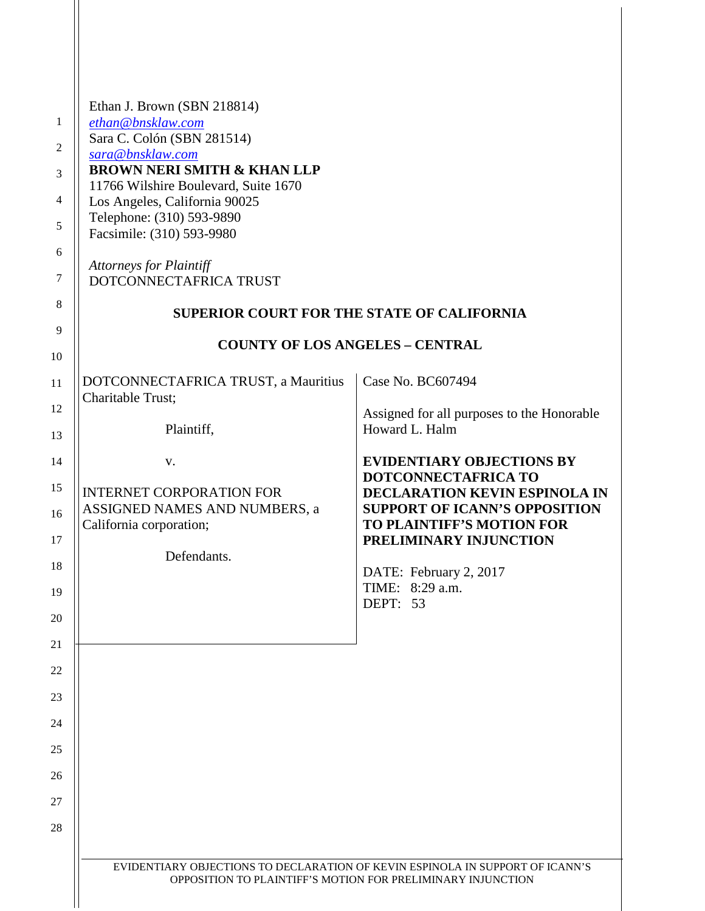| 1<br>2<br>3<br>4<br>5<br>6<br>7<br>8<br>9 | Ethan J. Brown (SBN 218814)<br>ethan@bnsklaw.com<br>Sara C. Colón (SBN 281514)<br>sara@bnsklaw.com<br><b>BROWN NERI SMITH &amp; KHAN LLP</b><br>11766 Wilshire Boulevard, Suite 1670<br>Los Angeles, California 90025<br>Telephone: (310) 593-9890<br>Facsimile: (310) 593-9980<br><b>Attorneys for Plaintiff</b><br>DOTCONNECTAFRICA TRUST<br><b>SUPERIOR COURT FOR THE STATE OF CALIFORNIA</b><br><b>COUNTY OF LOS ANGELES - CENTRAL</b> |                                                                   |  |
|-------------------------------------------|--------------------------------------------------------------------------------------------------------------------------------------------------------------------------------------------------------------------------------------------------------------------------------------------------------------------------------------------------------------------------------------------------------------------------------------------|-------------------------------------------------------------------|--|
| 10                                        |                                                                                                                                                                                                                                                                                                                                                                                                                                            |                                                                   |  |
| 11                                        | DOTCONNECTAFRICA TRUST, a Mauritius<br>Charitable Trust;                                                                                                                                                                                                                                                                                                                                                                                   | Case No. BC607494                                                 |  |
| 12<br>13                                  | Howard L. Halm<br>Plaintiff,                                                                                                                                                                                                                                                                                                                                                                                                               | Assigned for all purposes to the Honorable                        |  |
| 14                                        | V.                                                                                                                                                                                                                                                                                                                                                                                                                                         | <b>EVIDENTIARY OBJECTIONS BY</b>                                  |  |
| 15                                        | <b>INTERNET CORPORATION FOR</b>                                                                                                                                                                                                                                                                                                                                                                                                            | DOTCONNECTAFRICA TO<br>DECLARATION KEVIN ESPINOLA IN              |  |
| 16                                        | ASSIGNED NAMES AND NUMBERS, a<br>California corporation;                                                                                                                                                                                                                                                                                                                                                                                   | <b>SUPPORT OF ICANN'S OPPOSITION</b><br>TO PLAINTIFF'S MOTION FOR |  |
| 17                                        | Defendants.                                                                                                                                                                                                                                                                                                                                                                                                                                | PRELIMINARY INJUNCTION                                            |  |
| 18                                        |                                                                                                                                                                                                                                                                                                                                                                                                                                            | DATE: February 2, 2017<br>TIME: 8:29 a.m.                         |  |
| 19                                        |                                                                                                                                                                                                                                                                                                                                                                                                                                            | DEPT: 53                                                          |  |
| 20<br>21                                  |                                                                                                                                                                                                                                                                                                                                                                                                                                            |                                                                   |  |
| 22                                        |                                                                                                                                                                                                                                                                                                                                                                                                                                            |                                                                   |  |
| 23                                        |                                                                                                                                                                                                                                                                                                                                                                                                                                            |                                                                   |  |
| 24                                        |                                                                                                                                                                                                                                                                                                                                                                                                                                            |                                                                   |  |
| 25                                        |                                                                                                                                                                                                                                                                                                                                                                                                                                            |                                                                   |  |
| 26                                        |                                                                                                                                                                                                                                                                                                                                                                                                                                            |                                                                   |  |
| 27                                        |                                                                                                                                                                                                                                                                                                                                                                                                                                            |                                                                   |  |
| 28                                        |                                                                                                                                                                                                                                                                                                                                                                                                                                            |                                                                   |  |
|                                           | EVIDENTIARY OBJECTIONS TO DECLARATION OF KEVIN ESPINOLA IN SUPPORT OF ICANN'S<br>OPPOSITION TO PLAINTIFF'S MOTION FOR PRELIMINARY INJUNCTION                                                                                                                                                                                                                                                                                               |                                                                   |  |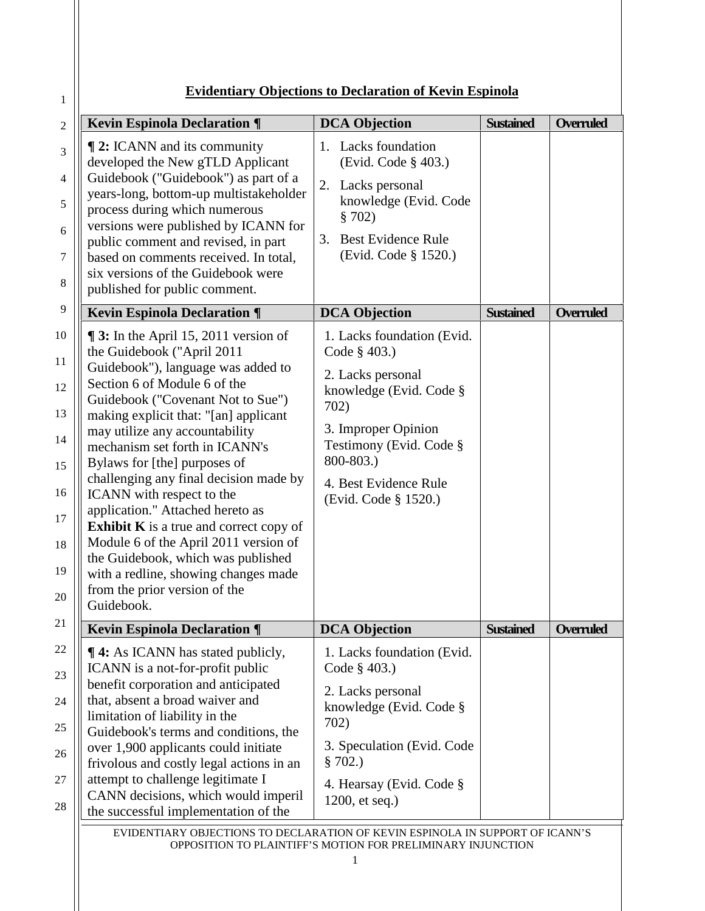## **Evidentiary Objections to Declaration of Kevin Espinola**

1

| <b>Kevin Espinola Declaration ¶</b>                                                                                                                                                                                                                                                                                                                                                                                                                                                                                                                                                                                                                                                                                                                                                                                                                                                                                                                                                                                                                                                    | <b>DCA Objection</b>                                                                                                                                                                                                                                                                                                                                                                                        | <b>Sustained</b> | <b>Overruled</b> |
|----------------------------------------------------------------------------------------------------------------------------------------------------------------------------------------------------------------------------------------------------------------------------------------------------------------------------------------------------------------------------------------------------------------------------------------------------------------------------------------------------------------------------------------------------------------------------------------------------------------------------------------------------------------------------------------------------------------------------------------------------------------------------------------------------------------------------------------------------------------------------------------------------------------------------------------------------------------------------------------------------------------------------------------------------------------------------------------|-------------------------------------------------------------------------------------------------------------------------------------------------------------------------------------------------------------------------------------------------------------------------------------------------------------------------------------------------------------------------------------------------------------|------------------|------------------|
| <b>12: ICANN</b> and its community<br>developed the New gTLD Applicant<br>Guidebook ("Guidebook") as part of a<br>years-long, bottom-up multistakeholder<br>process during which numerous<br>versions were published by ICANN for<br>public comment and revised, in part<br>based on comments received. In total,<br>six versions of the Guidebook were<br>published for public comment.<br><b>Kevin Espinola Declaration ¶</b><br>$\P$ 3: In the April 15, 2011 version of<br>the Guidebook ("April 2011<br>Guidebook"), language was added to<br>Section 6 of Module 6 of the<br>Guidebook ("Covenant Not to Sue")<br>making explicit that: "[an] applicant<br>may utilize any accountability<br>mechanism set forth in ICANN's<br>Bylaws for [the] purposes of<br>challenging any final decision made by<br>ICANN with respect to the<br>application." Attached hereto as<br><b>Exhibit K</b> is a true and correct copy of<br>Module 6 of the April 2011 version of<br>the Guidebook, which was published<br>with a redline, showing changes made<br>from the prior version of the | 1. Lacks foundation<br>(Evid. Code § 403.)<br>2. Lacks personal<br>knowledge (Evid. Code<br>\$702)<br><b>Best Evidence Rule</b><br>3.<br>(Evid. Code § 1520.)<br><b>DCA Objection</b><br>1. Lacks foundation (Evid.<br>Code § 403.)<br>2. Lacks personal<br>knowledge (Evid. Code §<br>702)<br>3. Improper Opinion<br>Testimony (Evid. Code §<br>800-803.)<br>4. Best Evidence Rule<br>(Evid. Code § 1520.) | <b>Sustained</b> | Overruled        |
| Guidebook.                                                                                                                                                                                                                                                                                                                                                                                                                                                                                                                                                                                                                                                                                                                                                                                                                                                                                                                                                                                                                                                                             |                                                                                                                                                                                                                                                                                                                                                                                                             |                  |                  |
| <b>Kevin Espinola Declaration ¶</b>                                                                                                                                                                                                                                                                                                                                                                                                                                                                                                                                                                                                                                                                                                                                                                                                                                                                                                                                                                                                                                                    | <b>DCA Objection</b>                                                                                                                                                                                                                                                                                                                                                                                        | <b>Sustained</b> | Overruled        |
| <b>14:</b> As ICANN has stated publicly,<br>ICANN is a not-for-profit public<br>benefit corporation and anticipated                                                                                                                                                                                                                                                                                                                                                                                                                                                                                                                                                                                                                                                                                                                                                                                                                                                                                                                                                                    | 1. Lacks foundation (Evid.<br>Code § 403.)<br>2. Lacks personal                                                                                                                                                                                                                                                                                                                                             |                  |                  |
| that, absent a broad waiver and<br>limitation of liability in the<br>Guidebook's terms and conditions, the                                                                                                                                                                                                                                                                                                                                                                                                                                                                                                                                                                                                                                                                                                                                                                                                                                                                                                                                                                             | knowledge (Evid. Code §<br>702)                                                                                                                                                                                                                                                                                                                                                                             |                  |                  |
| over 1,900 applicants could initiate<br>frivolous and costly legal actions in an                                                                                                                                                                                                                                                                                                                                                                                                                                                                                                                                                                                                                                                                                                                                                                                                                                                                                                                                                                                                       | 3. Speculation (Evid. Code)<br>\$702.)                                                                                                                                                                                                                                                                                                                                                                      |                  |                  |
| attempt to challenge legitimate I<br>CANN decisions, which would imperil<br>the successful implementation of the                                                                                                                                                                                                                                                                                                                                                                                                                                                                                                                                                                                                                                                                                                                                                                                                                                                                                                                                                                       | 4. Hearsay (Evid. Code §<br>$1200$ , et seq.)                                                                                                                                                                                                                                                                                                                                                               |                  |                  |

EVIDENTIARY OBJECTIONS TO DECLARATION OF KEVIN ESPINOLA IN SUPPORT OF ICANN'S OPPOSITION TO PLAINTIFF'S MOTION FOR PRELIMINARY INJUNCTION